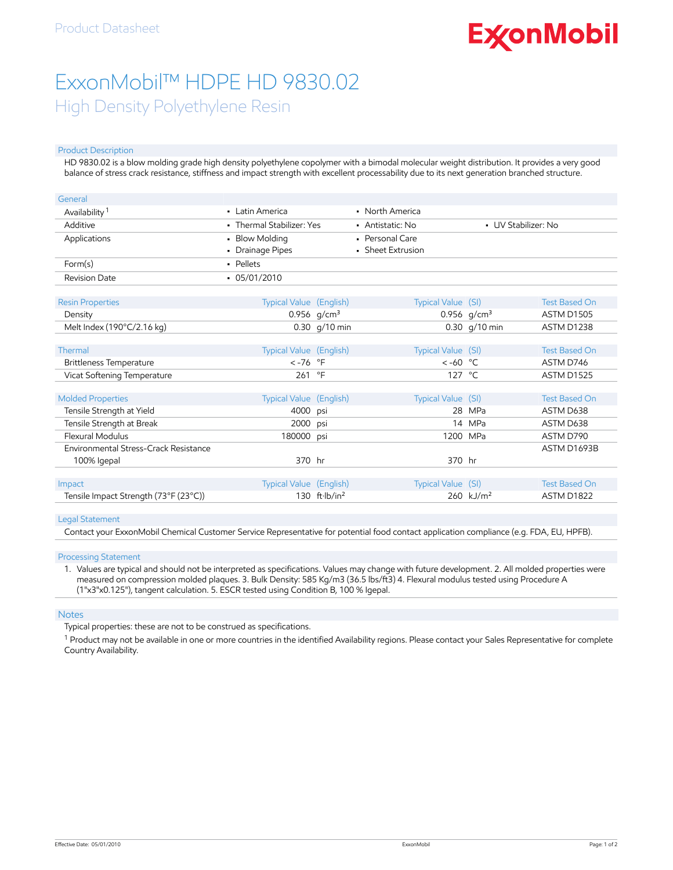# **ExconMobil**

## ExxonMobil™ HDPE HD 9830.02 High Density Polyethylene Resin

#### Product Description

HD 9830.02 is a blow molding grade high density polyethylene copolymer with a bimodal molecular weight distribution. It provides a very good balance of stress crack resistance, stiffness and impact strength with excellent processability due to its next generation branched structure.

| General                               |                                |                 |                                         |                       |                      |
|---------------------------------------|--------------------------------|-----------------|-----------------------------------------|-----------------------|----------------------|
| Availability <sup>1</sup>             | • Latin America                |                 | • North America                         |                       |                      |
| Additive                              | • Thermal Stabilizer: Yes      |                 | • UV Stabilizer: No<br>• Antistatic: No |                       |                      |
| Applications                          | • Blow Molding                 |                 | • Personal Care                         |                       |                      |
|                                       | • Drainage Pipes               |                 | • Sheet Extrusion                       |                       |                      |
| Form(s)                               | - Pellets                      |                 |                                         |                       |                      |
| <b>Revision Date</b>                  | $-05/01/2010$                  |                 |                                         |                       |                      |
|                                       |                                |                 |                                         |                       |                      |
| <b>Resin Properties</b>               | <b>Typical Value</b> (English) |                 | Typical Value (SI)                      |                       | <b>Test Based On</b> |
| Density                               |                                | 0.956 $g/cm^3$  |                                         | 0.956 $g/cm^3$        | ASTM D1505           |
| Melt Index (190°C/2.16 kg)            |                                | 0.30 g/10 min   |                                         | 0.30 g/10 min         | ASTM D1238           |
|                                       |                                |                 |                                         |                       |                      |
| Thermal                               | Typical Value (English)        |                 | Typical Value (SI)                      |                       | <b>Test Based On</b> |
| Brittleness Temperature               | $< -76$ °F                     |                 | $<-60$ °C                               |                       | ASTM D746            |
| Vicat Softening Temperature           | 261                            | $^{\circ}$ F    | 127 °C                                  |                       | ASTM D1525           |
|                                       |                                |                 |                                         |                       |                      |
| <b>Molded Properties</b>              | Typical Value (English)        |                 | Typical Value (SI)                      |                       | <b>Test Based On</b> |
| Tensile Strength at Yield             | 4000                           | psi             | 28                                      | MPa                   | ASTM D638            |
| Tensile Strength at Break             | 2000                           | psi             |                                         | 14 MPa                | ASTM D638            |
| <b>Flexural Modulus</b>               | 180000 psi                     |                 | 1200 MPa                                |                       | ASTM D790            |
| Environmental Stress-Crack Resistance |                                |                 |                                         |                       | ASTM D1693B          |
| 100% Igepal                           | 370 hr                         |                 | 370 hr                                  |                       |                      |
|                                       |                                |                 |                                         |                       |                      |
| Impact                                | Typical Value (English)        |                 | Typical Value (SI)                      |                       | <b>Test Based On</b> |
| Tensile Impact Strength (73°F (23°C)) |                                | 130 $ft·lb/in2$ |                                         | 260 kJ/m <sup>2</sup> | ASTM D1822           |

#### Legal Statement

Contact your ExxonMobil Chemical Customer Service Representative for potential food contact application compliance (e.g. FDA, EU, HPFB).

#### Processing Statement

1. Values are typical and should not be interpreted as specifications. Values may change with future development. 2. All molded properties were measured on compression molded plaques. 3. Bulk Density: 585 Kg/m3 (36.5 lbs/ft3) 4. Flexural modulus tested using Procedure A (1"x3"x0.125"), tangent calculation. 5. ESCR tested using Condition B, 100 % Igepal.

#### Notes

Typical properties: these are not to be construed as specifications.

 $^1$  Product may not be available in one or more countries in the identified Availability regions. Please contact your Sales Representative for complete Country Availability.